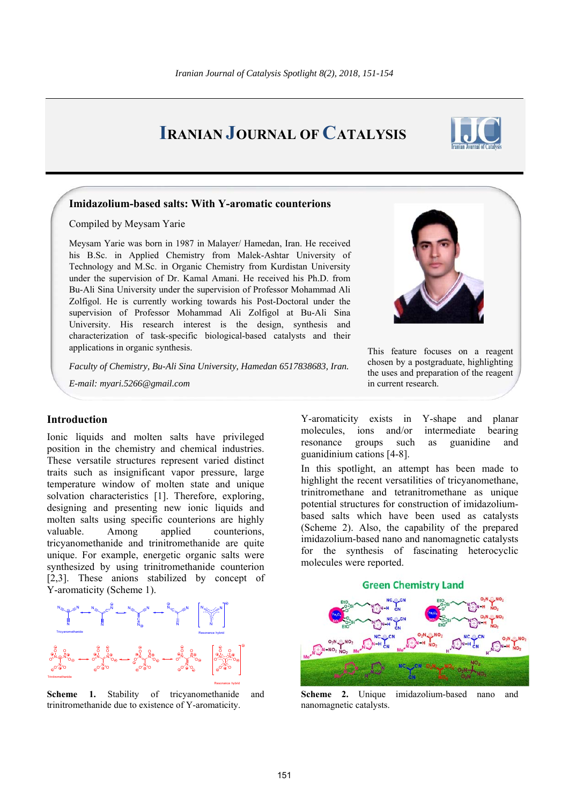# **IRANIAN JOURNAL OF CATALYSIS**



### **Imidazolium-based salts: With Y-aromatic counterions**

Compiled by Meysam Yarie

Meysam Yarie was born in 1987 in Malayer/ Hamedan, Iran. He received his B.Sc. in Applied Chemistry from Malek-Ashtar University of Technology and M.Sc. in Organic Chemistry from Kurdistan University under the supervision of Dr. Kamal Amani. He received his Ph.D. from Bu-Ali Sina University under the supervision of Professor Mohammad Ali Zolfigol. He is currently working towards his Post-Doctoral under the supervision of Professor Mohammad Ali Zolfigol at Bu-Ali Sina University. His research interest is the design, synthesis and characterization of task-specific biological-based catalysts and their applications in organic synthesis.

*Faculty of Chemistry, Bu-Ali Sina University, Hamedan 6517838683, Iran.* 

*E-mail: myari.5266@gmail.com*



This feature focuses on a reagent chosen by a postgraduate, highlighting the uses and preparation of the reagent in current research.

## **Introduction**

Ionic liquids and molten salts have privileged position in the chemistry and chemical industries. These versatile structures represent varied distinct traits such as insignificant vapor pressure, large temperature window of molten state and unique solvation characteristics [1]. Therefore, exploring, designing and presenting new ionic liquids and molten salts using specific counterions are highly valuable. Among applied counterions, tricyanomethanide and trinitromethanide are quite unique. For example, energetic organic salts were synthesized by using trinitromethanide counterion [2,3]. These anions stabilized by concept of Y-aromaticity (Scheme 1).



**Scheme 1.** Stability of tricyanomethanide and trinitromethanide due to existence of Y-aromaticity.

Y-aromaticity exists in Y-shape and planar molecules, ions and/or intermediate bearing resonance groups such as guanidine and guanidinium cations [4-8].

In this spotlight, an attempt has been made to highlight the recent versatilities of tricyanomethane, trinitromethane and tetranitromethane as unique potential structures for construction of imidazoliumbased salts which have been used as catalysts (Scheme 2). Also, the capability of the prepared imidazolium-based nano and nanomagnetic catalysts for the synthesis of fascinating heterocyclic molecules were reported.



**Scheme 2.** Unique imidazolium-based nano and nanomagnetic catalysts.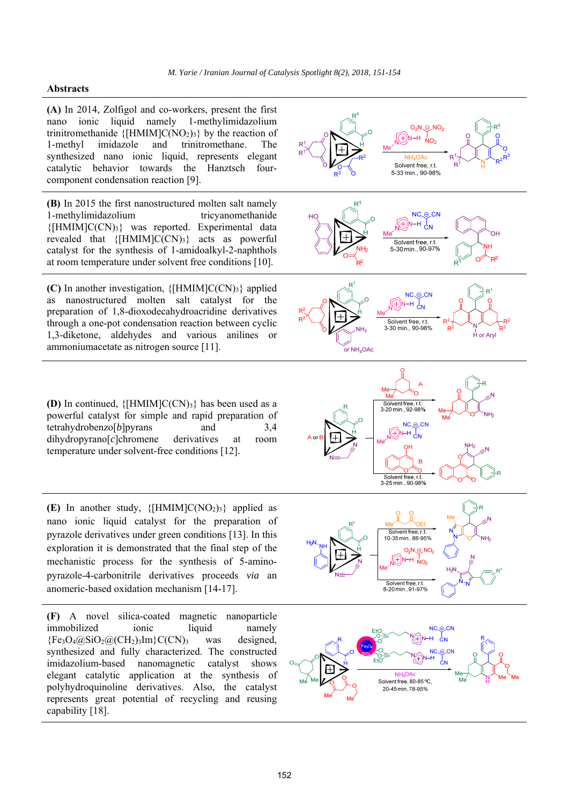O

O

H  $O_2N \oplus NO_2$ 

O

 $R^4$ 

O

 $R^3$ 

 $R^2$ 

 $R<sup>4</sup>$ 

### **Abstracts**

**(A)** In 2014, Zolfigol and co-workers, present the first nano ionic liquid namely 1-methylimidazolium trinitromethanide  ${[HMIM]C(NO_2)_3}$  by the reaction of 1-methyl imidazole and trinitromethane. The synthesized nano ionic liquid, represents elegant catalytic behavior towards the Hanztsch fourcomponent condensation reaction [9].

**(B)** In 2015 the first nanostructured molten salt namely 1-methylimidazolium tricyanomethanide  ${[\text{HMI}M]C(CN)_3}$  was reported. Experimental data revealed that  ${[HMM]C(CN)_3}$  acts as powerful catalyst for the synthesis of 1-amidoalkyl-2-naphthols at room temperature under solvent free conditions [10].

**(C)** In another investigation,  $\{[HMIM]C(CN)_3\}$  applied as nanostructured molten salt catalyst for the preparation of 1,8-dioxodecahydroacridine derivatives through a one-pot condensation reaction between cyclic 1,3-diketone, aldehydes and various anilines or ammoniumacetate as nitrogen source [11].

**(D)** In continued,  $\{[HMIM]C(CN)_3\}$  has been used as a powerful catalyst for simple and rapid preparation of tetrahydrobenzo[*b*]pyrans and 3,4 dihydropyrano[*c*]chromene derivatives at room temperature under solvent-free conditions [12].

**(E)** In another study,  $\{[HMIM]C(NO_2)_3\}$  applied as nano ionic liquid catalyst for the preparation of pyrazole derivatives under green conditions [13]. In this exploration it is demonstrated that the final step of the mechanistic process for the synthesis of 5-aminopyrazole-4-carbonitrile derivatives proceeds *via* an anomeric-based oxidation mechanism [14-17].

**(F)** A novel silica-coated magnetic nanoparticle immobilized ionic liquid namely  ${Fe<sub>3</sub>O<sub>4</sub>(QSiO<sub>2</sub>(Q(CH<sub>2</sub>)<sub>3</sub>Im{C(CN)<sub>3</sub>}$  was designed, synthesized and fully characterized. The constructed imidazolium-based nanomagnetic catalyst shows elegant catalytic application at the synthesis of polyhydroquinoline derivatives. Also, the catalyst represents great potential of recycling and reusing capability [18].





Solvent free. r.t.

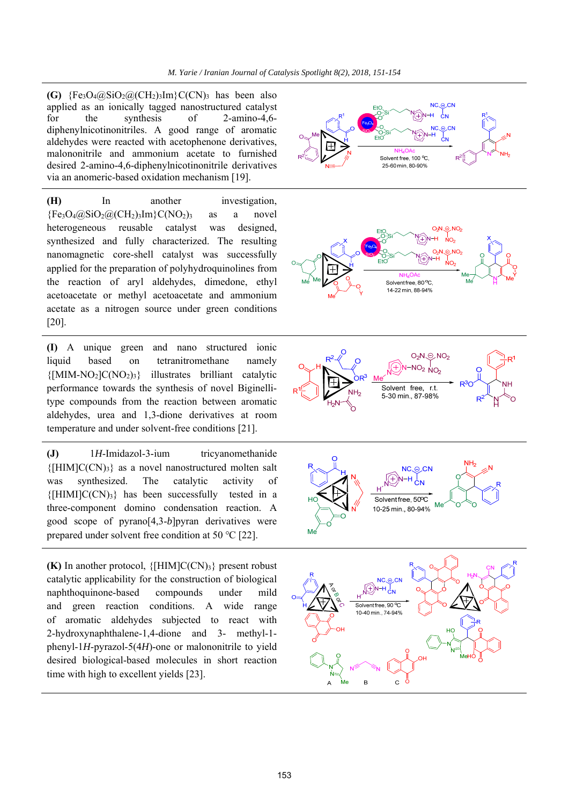**(G)**  ${Fe_3O_4} @SiO_2@(CH_2){_3}Im{C(CN)_3}$  has been also applied as an ionically tagged nanostructured catalyst for the synthesis of 2-amino-4,6 diphenylnicotinonitriles. A good range of aromatic aldehydes were reacted with acetophenone derivatives, malononitrile and ammonium acetate to furnished desired 2-amino-4,6-diphenylnicotinonitrile derivatives via an anomeric-based oxidation mechanism [19].

**(H)** In another investigation,  ${Fe_3O_4} @SiO_2@$  (CH<sub>2</sub>)<sub>3</sub>Im } C(NO<sub>2</sub>)<sub>3</sub> as a novel heterogeneous reusable catalyst was designed, synthesized and fully characterized. The resulting nanomagnetic core-shell catalyst was successfully applied for the preparation of polyhydroquinolines from the reaction of aryl aldehydes, dimedone, ethyl acetoacetate or methyl acetoacetate and ammonium acetate as a nitrogen source under green conditions [20].

**(I)** A unique green and nano structured ionic liquid based on tetranitromethane namely  ${[\text{MIM-NO}_2]\text{C}(\text{NO}_2)_3}$  illustrates brilliant catalytic performance towards the synthesis of novel Biginellitype compounds from the reaction between aromatic aldehydes, urea and 1,3-dione derivatives at room temperature and under solvent-free conditions [21].

**(J)** 1*H*-Imidazol-3-ium tricyanomethanide  ${[\text{HIM}]C(CN)_3}$  as a novel nanostructured molten salt was synthesized. The catalytic activity of  ${[\text{HIMI}]C(CN)_3}$  has been successfully tested in a three-component domino condensation reaction. A good scope of pyrano[4,3-*b*]pyran derivatives were prepared under solvent free condition at 50 ℃ [22].

**(K)** In another protocol,  $\{[HIM]C(CN)_3\}$  present robust catalytic applicability for the construction of biological naphthoquinone-based compounds under mild and green reaction conditions. A wide range of aromatic aldehydes subjected to react with 2-hydroxynaphthalene-1,4-dione and 3- methyl-1 phenyl-1*H*-pyrazol-5(4*H*)-one or malononitrile to yield desired biological-based molecules in short reaction time with high to excellent yields [23].